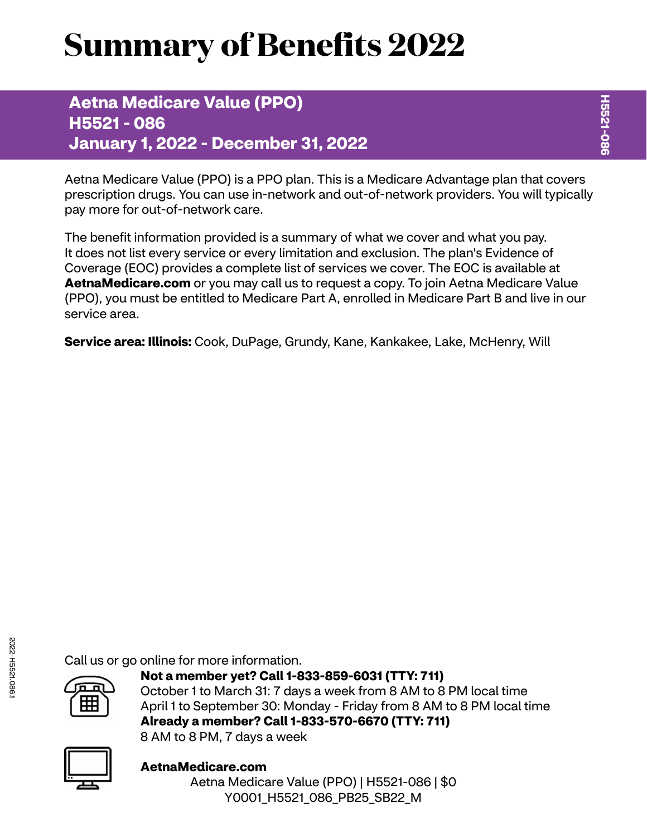# **Summary of Benefits 2022**

**Aetna Medicare Value (PPO) H5521 - 086 January 1, 2022 - December 31, 2022**

Aetna Medicare Value (PPO) is a PPO plan. This is a Medicare Advantage plan that covers prescription drugs. You can use in-network and out-of-network providers. You will typically pay more for out-of-network care.

The benefit information provided is a summary of what we cover and what you pay. It does not list every service or every limitation and exclusion. The plan's Evidence of Coverage (EOC) provides a complete list of services we cover. The EOC is available at **[AetnaMedicare.com](http://AetnaMedicare.com)** or you may call us to request a copy. To join Aetna Medicare Value (PPO), you must be entitled to Medicare Part A, enrolled in Medicare Part B and live in our service area.

**Service area: Illinois:** Cook, DuPage, Grundy, Kane, Kankakee, Lake, McHenry, Will

Call us or go online for more information.



**Not a member yet? Call 1-833-859-6031 (TTY: 711)** October 1 to March 31: 7 days a week from 8 AM to 8 PM local time April 1 to September 30: Monday - Friday from 8 AM to 8 PM local time **Already a member? Call 1-833-570-6670 (TTY: 711)** 8 AM to 8 PM, 7 days a week



**[AetnaMedicare.com](http://AetnaMedicare.com)** Aetna Medicare Value (PPO) | H5521-086 | \$0 Y0001\_H5521\_086\_PB25\_SB22\_M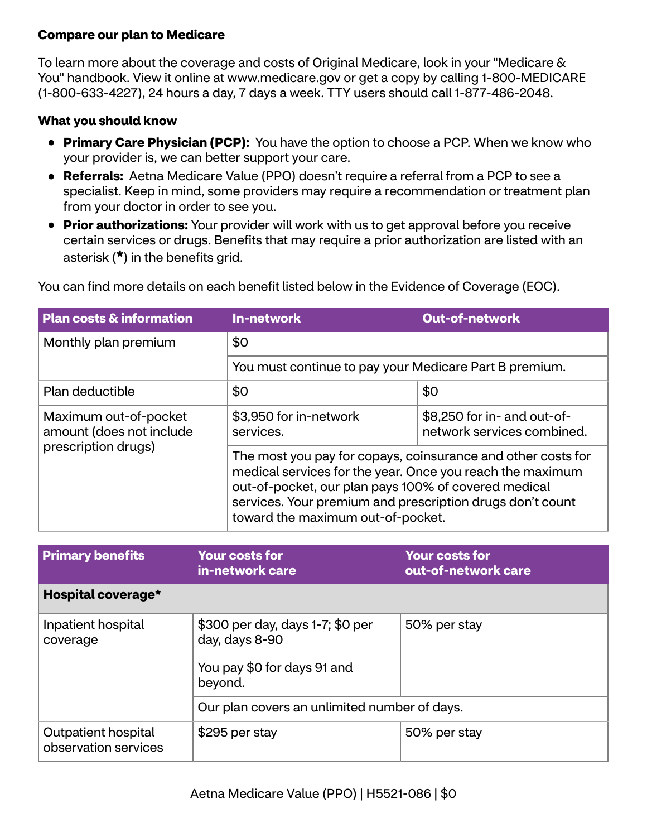## **Compare our plan to Medicare**

To learn more about the coverage and costs of Original Medicare, look in your "Medicare & You" handbook. View it online at<www.medicare.gov>or get a copy by calling 1-800-MEDICARE (1-800-633-4227), 24 hours a day, 7 days a week. TTY users should call 1-877-486-2048.

## **What you should know**

- **Primary Care Physician (PCP):** You have the option to choose a PCP. When we know who your provider is, we can better support your care.
- **Referrals:** Aetna Medicare Value (PPO) doesn't require a referral from a PCP to see a specialist. Keep in mind, some providers may require a recommendation or treatment plan from your doctor in order to see you.
- **Prior authorizations:** Your provider will work with us to get approval before you receive certain services or drugs. Benefits that may require a prior authorization are listed with an asterisk (**\***) in the benefits grid.

| <b>Plan costs &amp; information</b>                                      | In-network                                                                                                                                                                                                                                                                          | <b>Out-of-network</b>                                     |  |
|--------------------------------------------------------------------------|-------------------------------------------------------------------------------------------------------------------------------------------------------------------------------------------------------------------------------------------------------------------------------------|-----------------------------------------------------------|--|
| Monthly plan premium                                                     | \$0                                                                                                                                                                                                                                                                                 |                                                           |  |
|                                                                          | You must continue to pay your Medicare Part B premium.                                                                                                                                                                                                                              |                                                           |  |
| Plan deductible                                                          | \$0                                                                                                                                                                                                                                                                                 | \$0                                                       |  |
| Maximum out-of-pocket<br>amount (does not include<br>prescription drugs) | \$3,950 for in-network<br>services.                                                                                                                                                                                                                                                 | \$8,250 for in- and out-of-<br>network services combined. |  |
|                                                                          | The most you pay for copays, coinsurance and other costs for<br>medical services for the year. Once you reach the maximum<br>out-of-pocket, our plan pays 100% of covered medical<br>services. Your premium and prescription drugs don't count<br>toward the maximum out-of-pocket. |                                                           |  |

You can find more details on each benefit listed below in the Evidence of Coverage (EOC).

| <b>Primary benefits</b>                     | <b>Your costs for</b><br>in-network care                                                     | <b>Your costs for</b><br>out-of-network care |
|---------------------------------------------|----------------------------------------------------------------------------------------------|----------------------------------------------|
| Hospital coverage*                          |                                                                                              |                                              |
| Inpatient hospital<br>coverage              | \$300 per day, days 1-7; \$0 per<br>day, days 8-90<br>You pay \$0 for days 91 and<br>beyond. | 50% per stay                                 |
|                                             | Our plan covers an unlimited number of days.                                                 |                                              |
| Outpatient hospital<br>observation services | \$295 per stay                                                                               | 50% per stay                                 |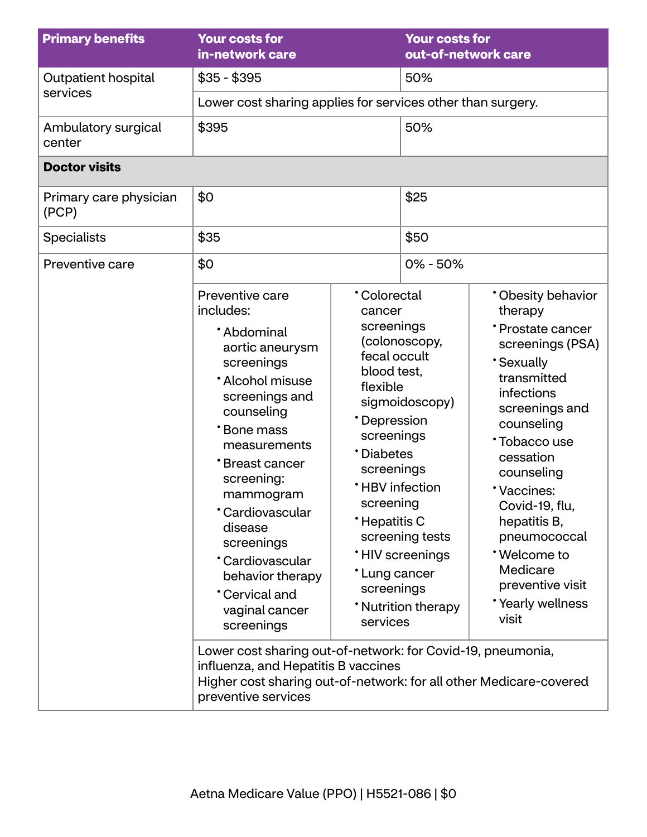| <b>Primary benefits</b>         | <b>Your costs for</b><br>in-network care                                                                                                                                                                                                                                                                                                                                                                                                                                                                                                         |                                                                                                                                                                                                                                              | <b>Your costs for</b><br>out-of-network care                                                       |                                                                                                                                                                                                                                                                                                                                               |
|---------------------------------|--------------------------------------------------------------------------------------------------------------------------------------------------------------------------------------------------------------------------------------------------------------------------------------------------------------------------------------------------------------------------------------------------------------------------------------------------------------------------------------------------------------------------------------------------|----------------------------------------------------------------------------------------------------------------------------------------------------------------------------------------------------------------------------------------------|----------------------------------------------------------------------------------------------------|-----------------------------------------------------------------------------------------------------------------------------------------------------------------------------------------------------------------------------------------------------------------------------------------------------------------------------------------------|
| Outpatient hospital             | $$35 - $395$                                                                                                                                                                                                                                                                                                                                                                                                                                                                                                                                     |                                                                                                                                                                                                                                              | 50%                                                                                                |                                                                                                                                                                                                                                                                                                                                               |
| services                        | Lower cost sharing applies for services other than surgery.                                                                                                                                                                                                                                                                                                                                                                                                                                                                                      |                                                                                                                                                                                                                                              |                                                                                                    |                                                                                                                                                                                                                                                                                                                                               |
| Ambulatory surgical<br>center   | \$395                                                                                                                                                                                                                                                                                                                                                                                                                                                                                                                                            |                                                                                                                                                                                                                                              | 50%                                                                                                |                                                                                                                                                                                                                                                                                                                                               |
| <b>Doctor visits</b>            |                                                                                                                                                                                                                                                                                                                                                                                                                                                                                                                                                  |                                                                                                                                                                                                                                              |                                                                                                    |                                                                                                                                                                                                                                                                                                                                               |
| Primary care physician<br>(PCP) | \$0                                                                                                                                                                                                                                                                                                                                                                                                                                                                                                                                              |                                                                                                                                                                                                                                              | \$25                                                                                               |                                                                                                                                                                                                                                                                                                                                               |
| <b>Specialists</b>              | \$35                                                                                                                                                                                                                                                                                                                                                                                                                                                                                                                                             |                                                                                                                                                                                                                                              | \$50                                                                                               |                                                                                                                                                                                                                                                                                                                                               |
| Preventive care                 | \$0                                                                                                                                                                                                                                                                                                                                                                                                                                                                                                                                              |                                                                                                                                                                                                                                              | $0\% - 50\%$                                                                                       |                                                                                                                                                                                                                                                                                                                                               |
|                                 | Preventive care<br>includes:<br>*Abdominal<br>aortic aneurysm<br>screenings<br>* Alcohol misuse<br>screenings and<br>counseling<br>*Bone mass<br>measurements<br>*Breast cancer<br>screening:<br>mammogram<br>*Cardiovascular<br>disease<br>screenings<br>*Cardiovascular<br>behavior therapy<br>Cervical and<br>vaginal cancer<br>screenings<br>Lower cost sharing out-of-network: for Covid-19, pneumonia,<br>influenza, and Hepatitis B vaccines<br>Higher cost sharing out-of-network: for all other Medicare-covered<br>preventive services | <b>Colorectal</b><br>cancer<br>screenings<br>fecal occult<br>blood test,<br>flexible<br>*Depression<br>screenings<br>*Diabetes<br>screenings<br><b>*HBV</b> infection<br>screening<br>*Hepatitis C<br>*Lung cancer<br>screenings<br>services | (colonoscopy,<br>sigmoidoscopy)<br>screening tests<br><b>HIV</b> screenings<br>* Nutrition therapy | * Obesity behavior<br>therapy<br>* Prostate cancer<br>screenings (PSA)<br><b>Sexually</b><br>transmitted<br>infections<br>screenings and<br>counseling<br>*Tobacco use<br>cessation<br>counseling<br>*Vaccines:<br>Covid-19, flu,<br>hepatitis B,<br>pneumococcal<br>*Welcome to<br>Medicare<br>preventive visit<br>*Yearly wellness<br>visit |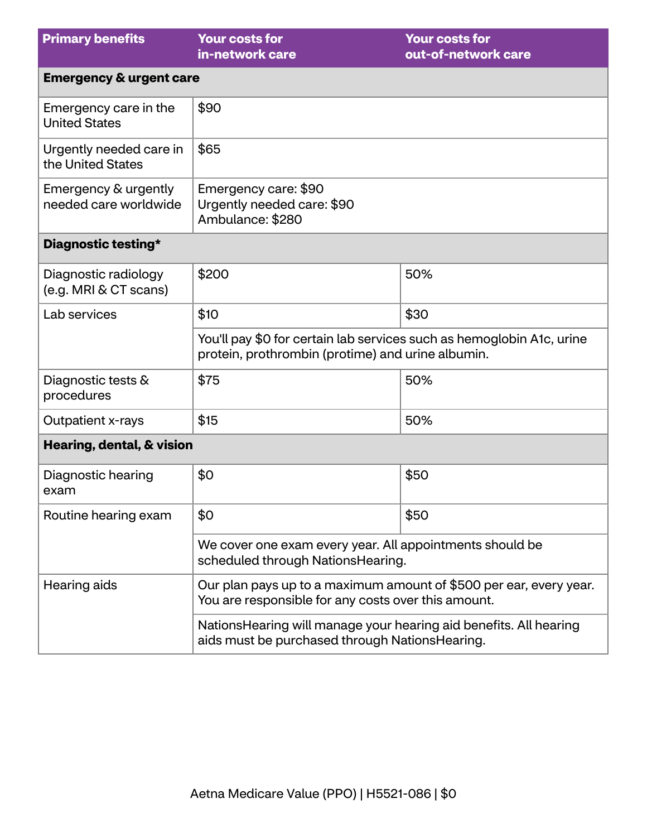| <b>Primary benefits</b>                       | <b>Your costs for</b><br>in-network care                                                                                   | <b>Your costs for</b><br>out-of-network care |  |
|-----------------------------------------------|----------------------------------------------------------------------------------------------------------------------------|----------------------------------------------|--|
| <b>Emergency &amp; urgent care</b>            |                                                                                                                            |                                              |  |
| Emergency care in the<br><b>United States</b> | \$90                                                                                                                       |                                              |  |
| Urgently needed care in<br>the United States  | \$65                                                                                                                       |                                              |  |
| Emergency & urgently<br>needed care worldwide | Emergency care: \$90<br>Urgently needed care: \$90<br>Ambulance: \$280                                                     |                                              |  |
| Diagnostic testing*                           |                                                                                                                            |                                              |  |
| Diagnostic radiology<br>(e.g. MRI & CT scans) | \$200                                                                                                                      | 50%                                          |  |
| Lab services                                  | \$10                                                                                                                       | \$30                                         |  |
|                                               | You'll pay \$0 for certain lab services such as hemoglobin A1c, urine<br>protein, prothrombin (protime) and urine albumin. |                                              |  |
| Diagnostic tests &<br>procedures              | \$75                                                                                                                       | 50%                                          |  |
| Outpatient x-rays                             | \$15                                                                                                                       | 50%                                          |  |
| Hearing, dental, & vision                     |                                                                                                                            |                                              |  |
| Diagnostic hearing<br>exam                    | \$0                                                                                                                        | \$50                                         |  |
| Routine hearing exam                          | \$0                                                                                                                        | \$50                                         |  |
|                                               | We cover one exam every year. All appointments should be<br>scheduled through NationsHearing.                              |                                              |  |
| Hearing aids                                  | Our plan pays up to a maximum amount of \$500 per ear, every year.<br>You are responsible for any costs over this amount.  |                                              |  |
|                                               | Nations Hearing will manage your hearing aid benefits. All hearing<br>aids must be purchased through NationsHearing.       |                                              |  |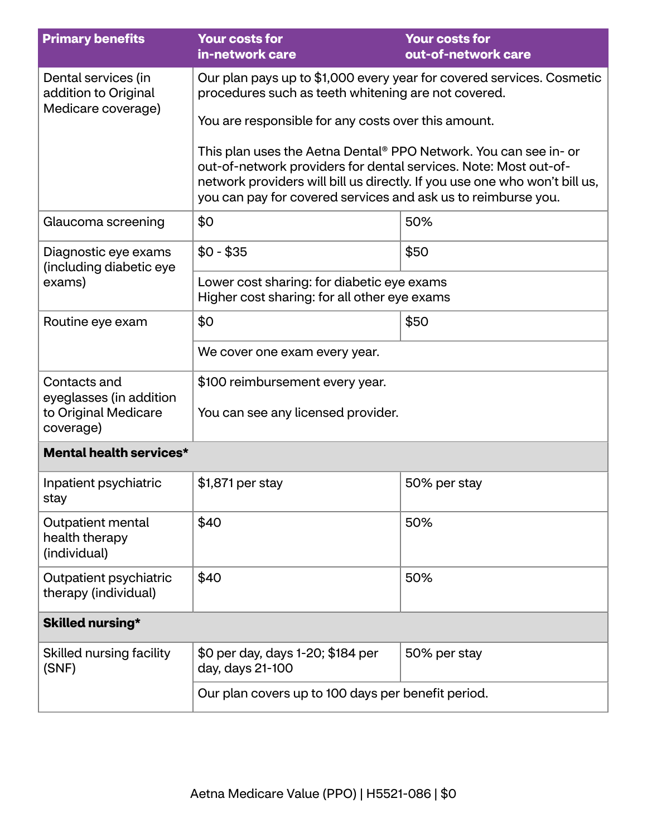| <b>Primary benefits</b>                                                      | <b>Your costs for</b><br>in-network care                                                                                                                                                                                                                                                        | <b>Your costs for</b><br>out-of-network care |  |
|------------------------------------------------------------------------------|-------------------------------------------------------------------------------------------------------------------------------------------------------------------------------------------------------------------------------------------------------------------------------------------------|----------------------------------------------|--|
| Dental services (in<br>addition to Original<br>Medicare coverage)            | Our plan pays up to \$1,000 every year for covered services. Cosmetic<br>procedures such as teeth whitening are not covered.                                                                                                                                                                    |                                              |  |
|                                                                              | You are responsible for any costs over this amount.                                                                                                                                                                                                                                             |                                              |  |
|                                                                              | This plan uses the Aetna Dental <sup>®</sup> PPO Network. You can see in- or<br>out-of-network providers for dental services. Note: Most out-of-<br>network providers will bill us directly. If you use one who won't bill us,<br>you can pay for covered services and ask us to reimburse you. |                                              |  |
| Glaucoma screening                                                           | \$0                                                                                                                                                                                                                                                                                             | 50%                                          |  |
| Diagnostic eye exams<br>(including diabetic eye                              | $$0 - $35$                                                                                                                                                                                                                                                                                      | \$50                                         |  |
| exams)                                                                       | Lower cost sharing: for diabetic eye exams<br>Higher cost sharing: for all other eye exams                                                                                                                                                                                                      |                                              |  |
| Routine eye exam                                                             | \$0<br>\$50                                                                                                                                                                                                                                                                                     |                                              |  |
|                                                                              | We cover one exam every year.                                                                                                                                                                                                                                                                   |                                              |  |
| Contacts and<br>eyeglasses (in addition<br>to Original Medicare<br>coverage) | \$100 reimbursement every year.<br>You can see any licensed provider.                                                                                                                                                                                                                           |                                              |  |
| <b>Mental health services*</b>                                               |                                                                                                                                                                                                                                                                                                 |                                              |  |
| Inpatient psychiatric<br>stay                                                | \$1,871 per stay                                                                                                                                                                                                                                                                                | 50% per stay                                 |  |
| Outpatient mental<br>health therapy<br>(individual)                          | \$40                                                                                                                                                                                                                                                                                            | 50%                                          |  |
| Outpatient psychiatric<br>therapy (individual)                               | \$40                                                                                                                                                                                                                                                                                            | 50%                                          |  |
| Skilled nursing*                                                             |                                                                                                                                                                                                                                                                                                 |                                              |  |
| Skilled nursing facility<br>(SNF)                                            | \$0 per day, days 1-20; \$184 per<br>day, days 21-100                                                                                                                                                                                                                                           | 50% per stay                                 |  |
|                                                                              | Our plan covers up to 100 days per benefit period.                                                                                                                                                                                                                                              |                                              |  |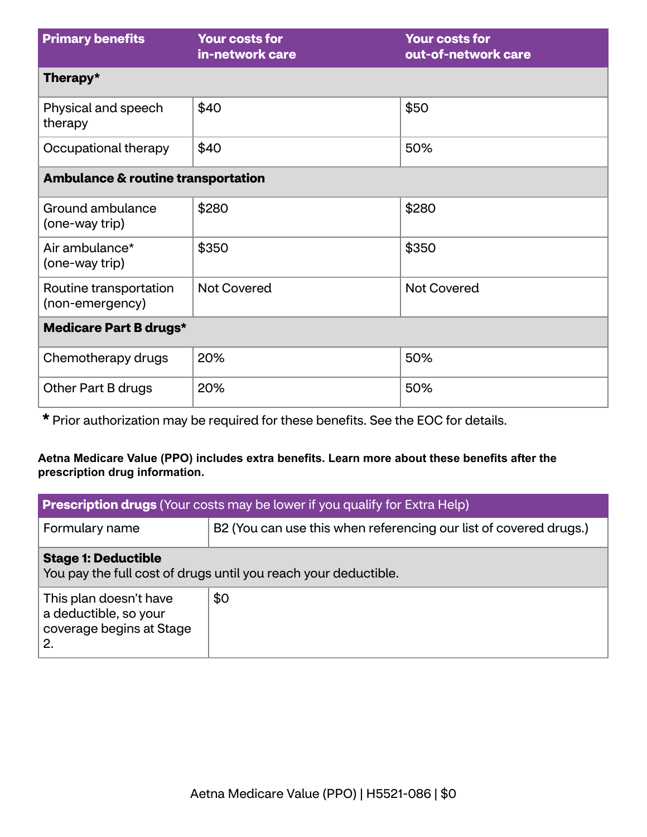| <b>Primary benefits</b>                       | <b>Your costs for</b><br>in-network care | <b>Your costs for</b><br>out-of-network care |  |
|-----------------------------------------------|------------------------------------------|----------------------------------------------|--|
| Therapy*                                      |                                          |                                              |  |
| Physical and speech<br>therapy                | \$40                                     | \$50                                         |  |
| Occupational therapy                          | \$40                                     | 50%                                          |  |
| <b>Ambulance &amp; routine transportation</b> |                                          |                                              |  |
| Ground ambulance<br>(one-way trip)            | \$280                                    | \$280                                        |  |
| Air ambulance*<br>(one-way trip)              | \$350                                    | \$350                                        |  |
| Routine transportation<br>(non-emergency)     | <b>Not Covered</b>                       | <b>Not Covered</b>                           |  |
| <b>Medicare Part B drugs*</b>                 |                                          |                                              |  |
| Chemotherapy drugs                            | 20%                                      | 50%                                          |  |
| Other Part B drugs                            | 20%                                      | 50%                                          |  |

**\*** Prior authorization may be required for these benefits. See the EOC for details.

### **Aetna Medicare Value (PPO) includes extra benefits. Learn more about these benefits after the prescription drug information.**

| <b>Prescription drugs</b> (Your costs may be lower if you qualify for Extra Help)             |                                                                   |  |
|-----------------------------------------------------------------------------------------------|-------------------------------------------------------------------|--|
| Formulary name                                                                                | B2 (You can use this when referencing our list of covered drugs.) |  |
| <b>Stage 1: Deductible</b><br>You pay the full cost of drugs until you reach your deductible. |                                                                   |  |
| This plan doesn't have<br>a deductible, so your<br>coverage begins at Stage<br>2.             | \$0                                                               |  |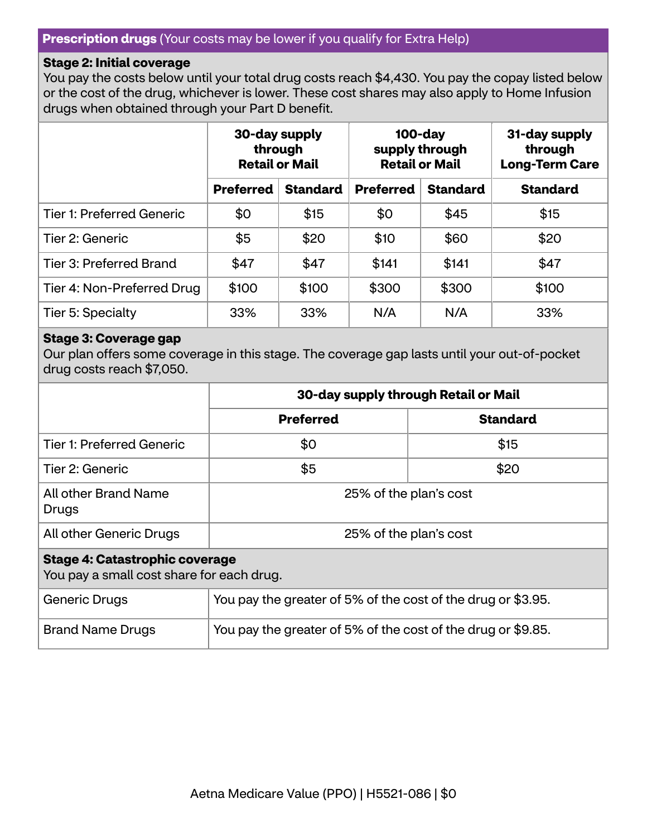### **Prescription drugs** (Your costs may be lower if you qualify for Extra Help)

#### **Stage 2: Initial coverage**

You pay the costs below until your total drug costs reach \$4,430. You pay the copay listed below or the cost of the drug, whichever is lower. These cost shares may also apply to Home Infusion drugs when obtained through your Part D benefit.

|                                  | 30-day supply<br>through<br><b>Retail or Mail</b> |                 | $100$ -day<br>supply through<br><b>Retail or Mail</b> |                 | 31-day supply<br>through<br><b>Long-Term Care</b> |
|----------------------------------|---------------------------------------------------|-----------------|-------------------------------------------------------|-----------------|---------------------------------------------------|
|                                  | <b>Preferred</b>                                  | <b>Standard</b> | <b>Preferred</b>                                      | <b>Standard</b> | <b>Standard</b>                                   |
| <b>Tier 1: Preferred Generic</b> | \$0                                               | \$15            | \$0                                                   | \$45            | \$15                                              |
| Tier 2: Generic                  | \$5                                               | \$20            | \$10                                                  | \$60            | \$20                                              |
| Tier 3: Preferred Brand          | \$47                                              | \$47            | \$141                                                 | \$141           | \$47                                              |
| Tier 4: Non-Preferred Drug       | \$100                                             | \$100           | \$300                                                 | \$300           | \$100                                             |
| Tier 5: Specialty                | 33%                                               | 33%             | N/A                                                   | N/A             | 33%                                               |

#### **Stage 3: Coverage gap**

Our plan offers some coverage in this stage. The coverage gap lasts until your out-of-pocket drug costs reach \$7,050.

|                                                                                    | 30-day supply through Retail or Mail                         |                 |  |
|------------------------------------------------------------------------------------|--------------------------------------------------------------|-----------------|--|
|                                                                                    | <b>Preferred</b>                                             | <b>Standard</b> |  |
| <b>Tier 1: Preferred Generic</b>                                                   | \$0                                                          | \$15            |  |
| Tier 2: Generic                                                                    | \$5                                                          | \$20            |  |
| All other Brand Name<br>Drugs                                                      | 25% of the plan's cost                                       |                 |  |
| All other Generic Drugs                                                            | 25% of the plan's cost                                       |                 |  |
| <b>Stage 4: Catastrophic coverage</b><br>You pay a small cost share for each drug. |                                                              |                 |  |
| Generic Drugs                                                                      | You pay the greater of 5% of the cost of the drug or \$3.95. |                 |  |

Brand Name Drugs  $\vert$  You pay the greater of 5% of the cost of the drug or \$9.85.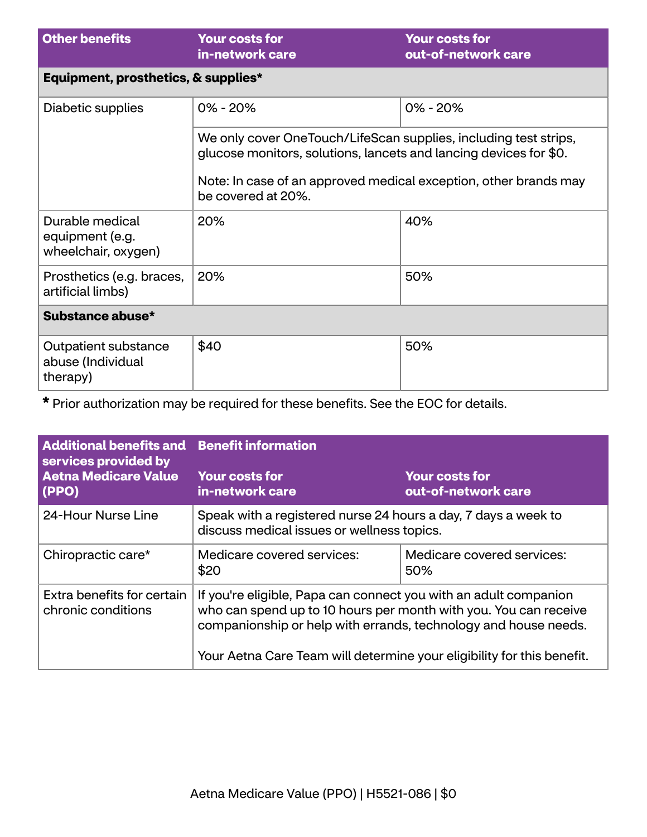| <b>Other benefits</b>                                     | <b>Your costs for</b><br>in-network care                                                                                                                                                                                        | <b>Your costs for</b><br>out-of-network care |  |
|-----------------------------------------------------------|---------------------------------------------------------------------------------------------------------------------------------------------------------------------------------------------------------------------------------|----------------------------------------------|--|
| Equipment, prosthetics, & supplies*                       |                                                                                                                                                                                                                                 |                                              |  |
| Diabetic supplies                                         | $0\% - 20\%$                                                                                                                                                                                                                    | $0\% - 20\%$                                 |  |
|                                                           | We only cover OneTouch/LifeScan supplies, including test strips,<br>glucose monitors, solutions, lancets and lancing devices for \$0.<br>Note: In case of an approved medical exception, other brands may<br>be covered at 20%. |                                              |  |
| Durable medical<br>equipment (e.g.<br>wheelchair, oxygen) | 20%                                                                                                                                                                                                                             | 40%                                          |  |
| Prosthetics (e.g. braces,<br>artificial limbs)            | 20%                                                                                                                                                                                                                             | 50%                                          |  |
| Substance abuse*                                          |                                                                                                                                                                                                                                 |                                              |  |
| Outpatient substance<br>abuse (Individual<br>therapy)     | \$40                                                                                                                                                                                                                            | 50%                                          |  |

**\*** Prior authorization may be required for these benefits. See the EOC for details.

| <b>Additional benefits and</b><br>services provided by | <b>Benefit information</b>                                                                                                                                                                                                                                                        |                                              |  |
|--------------------------------------------------------|-----------------------------------------------------------------------------------------------------------------------------------------------------------------------------------------------------------------------------------------------------------------------------------|----------------------------------------------|--|
| <b>Aetna Medicare Value</b><br>(PPO)                   | <b>Your costs for</b><br>in-network care                                                                                                                                                                                                                                          | <b>Your costs for</b><br>out-of-network care |  |
| 24-Hour Nurse Line                                     | Speak with a registered nurse 24 hours a day, 7 days a week to<br>discuss medical issues or wellness topics.                                                                                                                                                                      |                                              |  |
| Chiropractic care*                                     | Medicare covered services:<br>\$20                                                                                                                                                                                                                                                | Medicare covered services:<br>50%            |  |
| Extra benefits for certain<br>chronic conditions       | If you're eligible, Papa can connect you with an adult companion<br>who can spend up to 10 hours per month with you. You can receive<br>companionship or help with errands, technology and house needs.<br>Your Aetna Care Team will determine your eligibility for this benefit. |                                              |  |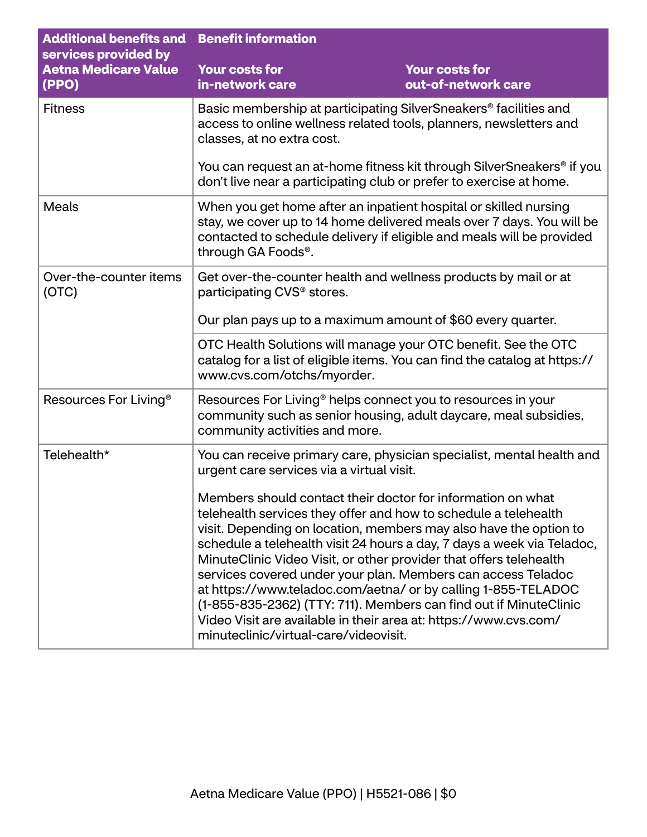| <b>Additional benefits and</b><br>services provided by | <b>Benefit information</b>                                                                                                                                                                                                                                                                                                                                                                                                                                                                                                                                                                                                                                             |                                              |
|--------------------------------------------------------|------------------------------------------------------------------------------------------------------------------------------------------------------------------------------------------------------------------------------------------------------------------------------------------------------------------------------------------------------------------------------------------------------------------------------------------------------------------------------------------------------------------------------------------------------------------------------------------------------------------------------------------------------------------------|----------------------------------------------|
| <b>Aetna Medicare Value</b><br>(PPO)                   | <b>Your costs for</b><br>in-network care                                                                                                                                                                                                                                                                                                                                                                                                                                                                                                                                                                                                                               | <b>Your costs for</b><br>out-of-network care |
| <b>Fitness</b>                                         | Basic membership at participating SilverSneakers <sup>®</sup> facilities and<br>access to online wellness related tools, planners, newsletters and<br>classes, at no extra cost.                                                                                                                                                                                                                                                                                                                                                                                                                                                                                       |                                              |
|                                                        | You can request an at-home fitness kit through SilverSneakers <sup>®</sup> if you<br>don't live near a participating club or prefer to exercise at home.                                                                                                                                                                                                                                                                                                                                                                                                                                                                                                               |                                              |
| <b>Meals</b>                                           | When you get home after an inpatient hospital or skilled nursing<br>stay, we cover up to 14 home delivered meals over 7 days. You will be<br>contacted to schedule delivery if eligible and meals will be provided<br>through GA Foods®.                                                                                                                                                                                                                                                                                                                                                                                                                               |                                              |
| Over-the-counter items<br>(OTC)                        | Get over-the-counter health and wellness products by mail or at<br>participating CVS <sup>®</sup> stores.<br>Our plan pays up to a maximum amount of \$60 every quarter.<br>OTC Health Solutions will manage your OTC benefit. See the OTC<br>catalog for a list of eligible items. You can find the catalog at https://<br>www.cvs.com/otchs/myorder.                                                                                                                                                                                                                                                                                                                 |                                              |
|                                                        |                                                                                                                                                                                                                                                                                                                                                                                                                                                                                                                                                                                                                                                                        |                                              |
|                                                        |                                                                                                                                                                                                                                                                                                                                                                                                                                                                                                                                                                                                                                                                        |                                              |
| Resources For Living <sup>®</sup>                      | Resources For Living <sup>®</sup> helps connect you to resources in your<br>community such as senior housing, adult daycare, meal subsidies,<br>community activities and more.                                                                                                                                                                                                                                                                                                                                                                                                                                                                                         |                                              |
| Telehealth*                                            | You can receive primary care, physician specialist, mental health and<br>urgent care services via a virtual visit.                                                                                                                                                                                                                                                                                                                                                                                                                                                                                                                                                     |                                              |
|                                                        | Members should contact their doctor for information on what<br>telehealth services they offer and how to schedule a telehealth<br>visit. Depending on location, members may also have the option to<br>schedule a telehealth visit 24 hours a day, 7 days a week via Teladoc,<br>MinuteClinic Video Visit, or other provider that offers telehealth<br>services covered under your plan. Members can access Teladoc<br>at https://www.teladoc.com/aetna/ or by calling 1-855-TELADOC<br>(1-855-835-2362) (TTY: 711). Members can find out if MinuteClinic<br>Video Visit are available in their area at: https://www.cvs.com/<br>minuteclinic/virtual-care/videovisit. |                                              |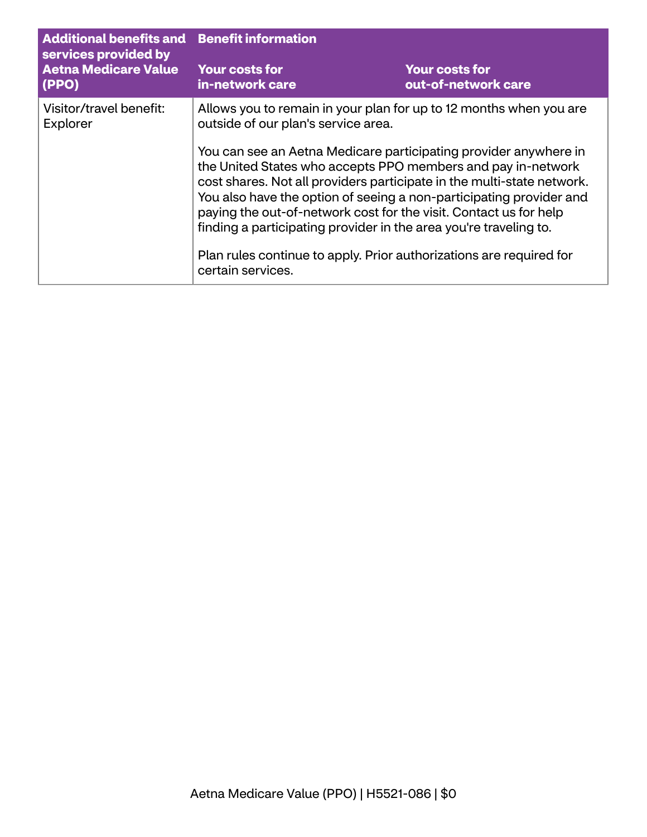| <b>Additional benefits and Benefit information</b><br>services provided by<br><b>Aetna Medicare Value</b><br>(PPO) |                                                                                                                                                                                                                                                                                                                                                                                                                                                                                                                                                                                                                                      |                                              |
|--------------------------------------------------------------------------------------------------------------------|--------------------------------------------------------------------------------------------------------------------------------------------------------------------------------------------------------------------------------------------------------------------------------------------------------------------------------------------------------------------------------------------------------------------------------------------------------------------------------------------------------------------------------------------------------------------------------------------------------------------------------------|----------------------------------------------|
|                                                                                                                    | <b>Your costs for</b><br>in-network care                                                                                                                                                                                                                                                                                                                                                                                                                                                                                                                                                                                             | <b>Your costs for</b><br>out-of-network care |
| Visitor/travel benefit:<br>Explorer                                                                                | Allows you to remain in your plan for up to 12 months when you are<br>outside of our plan's service area.<br>You can see an Aetna Medicare participating provider anywhere in<br>the United States who accepts PPO members and pay in-network<br>cost shares. Not all providers participate in the multi-state network.<br>You also have the option of seeing a non-participating provider and<br>paying the out-of-network cost for the visit. Contact us for help<br>finding a participating provider in the area you're traveling to.<br>Plan rules continue to apply. Prior authorizations are required for<br>certain services. |                                              |
|                                                                                                                    |                                                                                                                                                                                                                                                                                                                                                                                                                                                                                                                                                                                                                                      |                                              |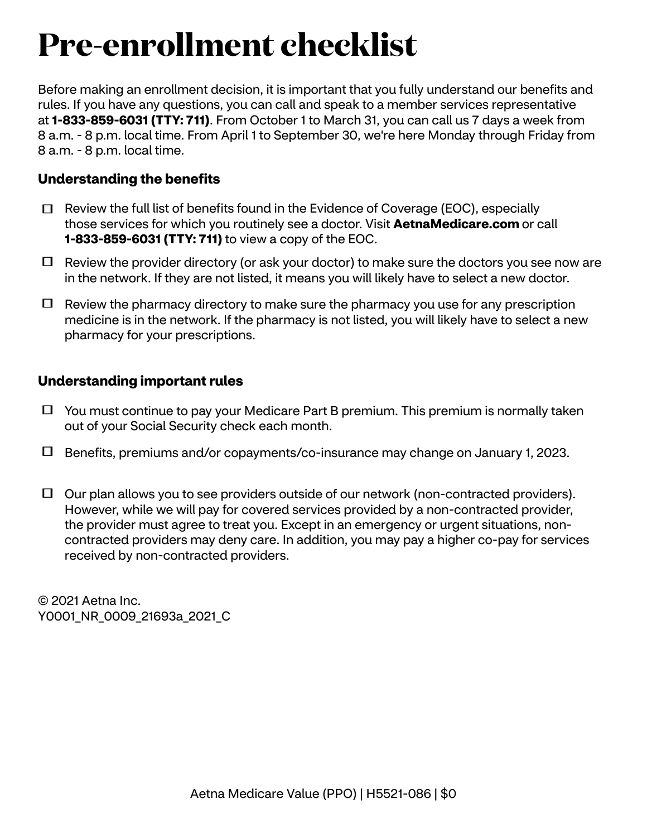# **Pre-enrollment checklist**

Before making an enrollment decision, it is important that you fully understand our benefits and rules. If you have any questions, you can call and speak to a member services representative at **1-833-859-6031 (TTY: 711)**. From October 1 to March 31, you can call us 7 days a week from 8 a.m. - 8 p.m. local time. From April 1 to September 30, we're here Monday through Friday from 8 a.m. - 8 p.m. local time.

# **Understanding the benefits**

- $\Box$  Review the full list of benefits found in the Evidence of Coverage (EOC), especially those services for which you routinely see a doctor. Visit **[AetnaMedicare.com](http://AetnaMedicare.com)** or call **1-833-859-6031 (TTY: 711)** to view a copy of the EOC.
- $\Box$  Review the provider directory (or ask your doctor) to make sure the doctors you see now are in the network. If they are not listed, it means you will likely have to select a new doctor.
- $\Box$  Review the pharmacy directory to make sure the pharmacy you use for any prescription medicine is in the network. If the pharmacy is not listed, you will likely have to select a new pharmacy for your prescriptions.

# **Understanding important rules**

- $\Box$  You must continue to pay your Medicare Part B premium. This premium is normally taken out of your Social Security check each month.
- Benefits, premiums and/or copayments/co-insurance may change on January 1, 2023.
- $\Box$  Our plan allows you to see providers outside of our network (non-contracted providers). However, while we will pay for covered services provided by a non-contracted provider, the provider must agree to treat you. Except in an emergency or urgent situations, noncontracted providers may deny care. In addition, you may pay a higher co-pay for services received by non-contracted providers.

© 2021 Aetna Inc. Y0001 NR 0009 21693a 2021 C